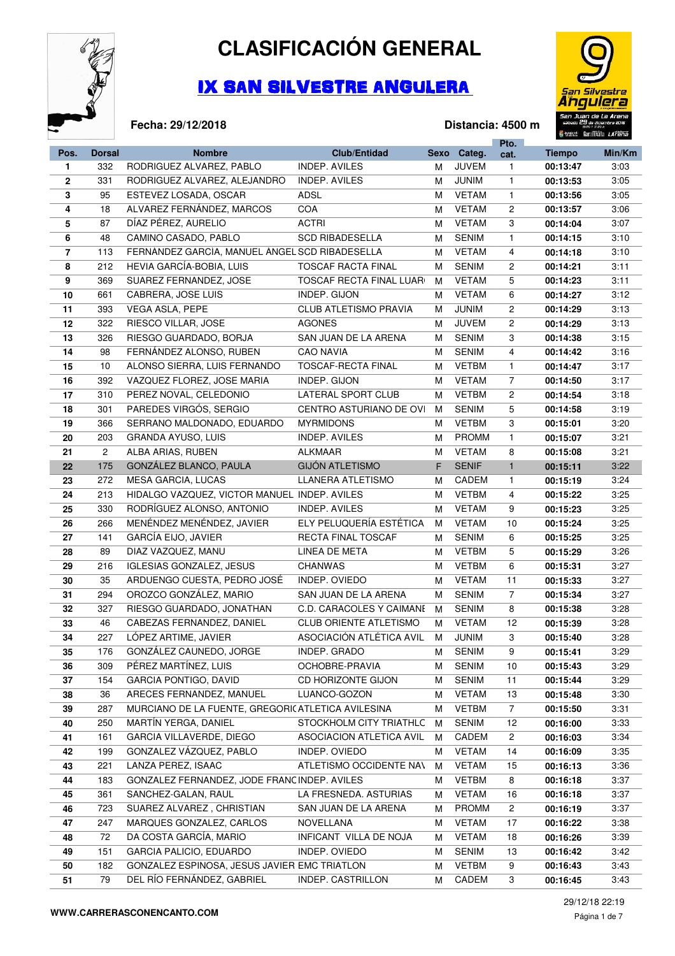

## **CLASIFICACIÓN GENERAL**

## IX SAN SILVESTRE ANGULERA



**Distancia: 4500 m**

## **Fecha: 29/12/2018**

|                |                |                                                   |                                 |      |              | Pto.           | <b>The Structure of the international company of the Structure</b> |        |
|----------------|----------------|---------------------------------------------------|---------------------------------|------|--------------|----------------|--------------------------------------------------------------------|--------|
| Pos.           | <b>Dorsal</b>  | <b>Nombre</b>                                     | <b>Club/Entidad</b>             | Sexo | Categ.       | cat.           | <b>Tiempo</b>                                                      | Min/Km |
| 1              | 332            | RODRIGUEZ ALVAREZ, PABLO                          | <b>INDEP. AVILES</b>            | М    | <b>JUVEM</b> | 1              | 00:13:47                                                           | 3:03   |
| $\mathbf{2}$   | 331            | RODRIGUEZ ALVAREZ, ALEJANDRO                      | <b>INDEP. AVILES</b>            | М    | <b>JUNIM</b> | $\mathbf{1}$   | 00:13:53                                                           | 3:05   |
| 3              | 95             | ESTEVEZ LOSADA, OSCAR                             | <b>ADSL</b>                     | м    | <b>VETAM</b> | $\mathbf{1}$   | 00:13:56                                                           | 3:05   |
| 4              | 18             | ALVAREZ FERNÁNDEZ, MARCOS                         | COA                             | м    | <b>VETAM</b> | $\overline{c}$ | 00:13:57                                                           | 3:06   |
| 5              | 87             | DÍAZ PÉREZ, AURELIO                               | ACTRI                           | м    | <b>VETAM</b> | 3              | 00:14:04                                                           | 3:07   |
| 6              | 48             | CAMINO CASADO, PABLO                              | <b>SCD RIBADESELLA</b>          | М    | <b>SENIM</b> | $\mathbf{1}$   | 00:14:15                                                           | 3:10   |
| $\overline{7}$ | 113            | FERNÁNDEZ GARCÍA, MANUEL ÁNGEL SCD RIBADESELLA    |                                 | м    | <b>VETAM</b> | 4              | 00:14:18                                                           | 3:10   |
| 8              | 212            | HEVIA GARCÍA-BOBIA, LUIS                          | <b>TOSCAF RACTA FINAL</b>       | м    | <b>SENIM</b> | $\overline{c}$ | 00:14:21                                                           | 3:11   |
| 9              | 369            | SUAREZ FERNANDEZ, JOSE                            | <b>TOSCAF RECTA FINAL LUAR</b>  | м    | <b>VETAM</b> | 5              | 00:14:23                                                           | 3:11   |
| 10             | 661            | CABRERA, JOSE LUIS                                | INDEP. GIJON                    | м    | <b>VETAM</b> | 6              | 00:14:27                                                           | 3:12   |
| 11             | 393            | VEGA ASLA, PEPE                                   | <b>CLUB ATLETISMO PRAVIA</b>    | М    | <b>JUNIM</b> | $\overline{c}$ | 00:14:29                                                           | 3:13   |
| 12             | 322            | RIESCO VILLAR, JOSE                               | <b>AGONES</b>                   | М    | <b>JUVEM</b> | $\overline{c}$ | 00:14:29                                                           | 3:13   |
| 13             | 326            | RIESGO GUARDADO, BORJA                            | SAN JUAN DE LA ARENA            | м    | <b>SENIM</b> | 3              | 00:14:38                                                           | 3:15   |
| 14             | 98             | FERNÁNDEZ ALONSO, RUBEN                           | <b>CAO NAVIA</b>                | м    | <b>SENIM</b> | 4              | 00:14:42                                                           | 3:16   |
| 15             | $10$           | ALONSO SIERRA, LUIS FERNANDO                      | <b>TOSCAF-RECTA FINAL</b>       | м    | <b>VETBM</b> | $\mathbf{1}$   | 00:14:47                                                           | 3:17   |
| 16             | 392            | VAZQUEZ FLOREZ, JOSE MARIA                        | INDEP. GIJON                    | М    | <b>VETAM</b> | 7              | 00:14:50                                                           | 3:17   |
| 17             | 310            | PEREZ NOVAL, CELEDONIO                            | LATERAL SPORT CLUB              | м    | <b>VETBM</b> | $\overline{c}$ | 00:14:54                                                           | 3:18   |
| 18             | 301            | PAREDES VIRGÓS, SERGIO                            | CENTRO ASTURIANO DE OVI         | м    | <b>SENIM</b> | 5              | 00:14:58                                                           | 3:19   |
| 19             | 366            | SERRANO MALDONADO, EDUARDO                        | <b>MYRMIDONS</b>                | м    | <b>VETBM</b> | 3              | 00:15:01                                                           | 3:20   |
| 20             | 203            | GRANDA AYUSO, LUIS                                | <b>INDEP. AVILES</b>            | М    | <b>PROMM</b> | $\mathbf{1}$   | 00:15:07                                                           | 3:21   |
| 21             | $\overline{c}$ | ALBA ARIAS, RUBEN                                 | ALKMAAR                         | М    | <b>VETAM</b> | 8              | 00:15:08                                                           | 3:21   |
| 22             | 175            | GONZÁLEZ BLANCO, PAULA                            | <b>GIJÓN ATLETISMO</b>          | F    | <b>SENIF</b> | $\mathbf{1}$   | 00:15:11                                                           | 3:22   |
| 23             | 272            | MESA GARCIA, LUCAS                                | LLANERA ATLETISMO               | М    | CADEM        | $\mathbf{1}$   | 00:15:19                                                           | 3:24   |
| 24             | 213            | HIDALGO VAZQUEZ, VICTOR MANUEL INDEP. AVILES      |                                 | м    | <b>VETBM</b> | 4              | 00:15:22                                                           | 3:25   |
| 25             | 330            | RODRÍGUEZ ALONSO, ANTONIO                         | <b>INDEP. AVILES</b>            | м    | <b>VETAM</b> | 9              | 00:15:23                                                           | 3:25   |
| 26             | 266            | MENÉNDEZ MENÉNDEZ, JAVIER                         | ELY PELUQUERÍA ESTÉTICA         | м    | <b>VETAM</b> | 10             | 00:15:24                                                           | 3:25   |
| 27             | 141            | GARCÍA EIJO, JAVIER                               | RECTA FINAL TOSCAF              | м    | <b>SENIM</b> | 6              | 00:15:25                                                           | 3:25   |
| 28             | 89             | DIAZ VAZQUEZ, MANU                                | LINEA DE META                   | м    | <b>VETBM</b> | 5              | 00:15:29                                                           | 3:26   |
| 29             | 216            | IGLESIAS GONZALEZ, JESUS                          | <b>CHANWAS</b>                  | м    | <b>VETBM</b> | 6              | 00:15:31                                                           | 3:27   |
| 30             | 35             | ARDUENGO CUESTA, PEDRO JOSÉ                       | INDEP. OVIEDO                   | м    | <b>VETAM</b> | 11             | 00:15:33                                                           | 3:27   |
| 31             | 294            | OROZCO GONZÁLEZ, MARIO                            | SAN JUAN DE LA ARENA            | м    | <b>SENIM</b> | $\overline{7}$ | 00:15:34                                                           | 3:27   |
| 32             | 327            | RIESGO GUARDADO, JONATHAN                         | <b>C.D. CARACOLES Y CAIMANE</b> | м    | <b>SENIM</b> | 8              | 00:15:38                                                           | 3:28   |
| 33             | 46             | CABEZAS FERNANDEZ, DANIEL                         | <b>CLUB ORIENTE ATLETISMO</b>   | м    | <b>VETAM</b> | 12             | 00:15:39                                                           | 3:28   |
| 34             | 227            | LÓPEZ ARTIME, JAVIER                              | ASOCIACIÓN ATLÉTICA AVIL        | M    | <b>JUNIM</b> | 3              | 00:15:40                                                           | 3:28   |
| 35             | 176            | GONZÁLEZ CAUNEDO, JORGE                           | INDEP. GRADO                    | м    | <b>SENIM</b> | 9              | 00:15:41                                                           | 3:29   |
| 36             | 309            | PÉREZ MARTÍNEZ, LUIS                              | OCHOBRE-PRAVIA                  | м    | <b>SENIM</b> | 10             | 00:15:43                                                           | 3:29   |
| 37             | 154            | GARCIA PONTIGO, DAVID                             | CD HORIZONTE GIJON              | м    | <b>SENIM</b> | 11             | 00:15:44                                                           | 3:29   |
| 38             | 36             | ARECES FERNANDEZ, MANUEL                          | LUANCO-GOZON                    | м    | <b>VETAM</b> | 13             | 00:15:48                                                           | 3:30   |
| 39             | 287            | MURCIANO DE LA FUENTE, GREGORICATLETICA AVILESINA |                                 | м    | <b>VETBM</b> | $\overline{7}$ | 00:15:50                                                           | 3:31   |
| 40             | 250            | MARTÍN YERGA, DANIEL                              | STOCKHOLM CITY TRIATHLC         | м    | <b>SENIM</b> | 12             | 00:16:00                                                           | 3:33   |
| 41             | 161            | GARCIA VILLAVERDE, DIEGO                          | ASOCIACION ATLETICA AVIL        | м    | CADEM        | $\overline{c}$ | 00:16:03                                                           | 3:34   |
| 42             | 199            | GONZALEZ VÁZQUEZ, PABLO                           | INDEP. OVIEDO                   | м    | <b>VETAM</b> | 14             | 00:16:09                                                           | 3:35   |
| 43             | 221            | LANZA PEREZ, ISAAC                                | ATLETISMO OCCIDENTE NAV         | м    | <b>VETAM</b> | 15             | 00:16:13                                                           | 3:36   |
| 44             | 183            | GONZALEZ FERNANDEZ, JODE FRANC INDEP. AVILES      |                                 | м    | <b>VETBM</b> | 8              | 00:16:18                                                           | 3:37   |
| 45             | 361            | SANCHEZ-GALAN, RAUL                               | LA FRESNEDA. ASTURIAS           | м    | VETAM        | 16             | 00:16:18                                                           | 3:37   |
| 46             | 723            | SUAREZ ALVAREZ, CHRISTIAN                         | SAN JUAN DE LA ARENA            | м    | <b>PROMM</b> | $\overline{c}$ | 00:16:19                                                           | 3:37   |
| 47             | 247            | MARQUES GONZALEZ, CARLOS                          | NOVELLANA                       | м    | <b>VETAM</b> | 17             | 00:16:22                                                           | 3:38   |
| 48             | 72             | DA COSTA GARCÍA, MARIO                            | INFICANT VILLA DE NOJA          | м    | <b>VETAM</b> | 18             | 00:16:26                                                           | 3:39   |
| 49             | 151            | GARCIA PALICIO, EDUARDO                           | INDEP. OVIEDO                   | м    | <b>SENIM</b> | 13             | 00:16:42                                                           | 3:42   |
| 50             | 182            | GONZALEZ ESPINOSA, JESUS JAVIER EMC TRIATLON      |                                 | м    | <b>VETBM</b> | 9              | 00:16:43                                                           | 3:43   |
| 51             | 79             | DEL RÍO FERNÁNDEZ, GABRIEL                        | INDEP. CASTRILLON               | м    | CADEM        | 3              | 00:16:45                                                           | 3:43   |
|                |                |                                                   |                                 |      |              |                |                                                                    |        |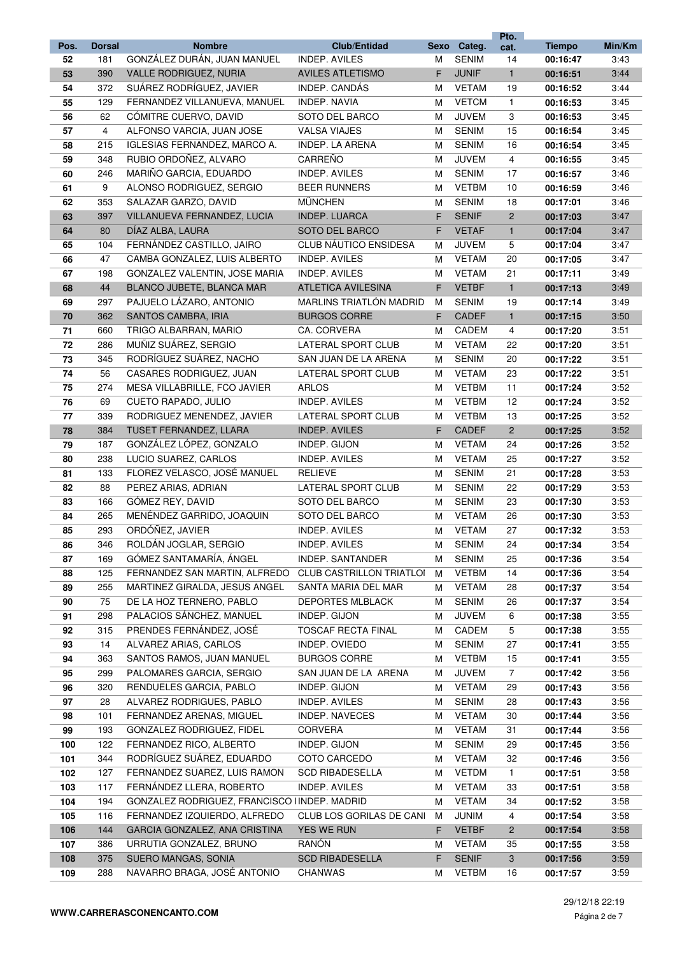|      |                |                                              |                                 |      |              | Pto.           |               |        |
|------|----------------|----------------------------------------------|---------------------------------|------|--------------|----------------|---------------|--------|
| Pos. | <b>Dorsal</b>  | <b>Nombre</b>                                | <b>Club/Entidad</b>             | Sexo | Categ.       | cat.           | <b>Tiempo</b> | Min/Km |
| 52   | 181            | GONZÁLEZ DURÁN, JUAN MANUEL                  | <b>INDEP. AVILES</b>            | M    | <b>SENIM</b> | 14             | 00:16:47      | 3:43   |
| 53   | 390            | <b>VALLE RODRIGUEZ, NURIA</b>                | <b>AVILES ATLETISMO</b>         | F.   | <b>JUNIF</b> | $\mathbf{1}$   | 00:16:51      | 3:44   |
| 54   | 372            | SUÁREZ RODRÍGUEZ, JAVIER                     | INDEP. CANDÁS                   | м    | <b>VETAM</b> | 19             | 00:16:52      | 3:44   |
| 55   | 129            | FERNANDEZ VILLANUEVA, MANUEL                 | <b>INDEP. NAVIA</b>             | M    | <b>VETCM</b> | $\mathbf{1}$   | 00:16:53      | 3:45   |
| 56   | 62             | CÓMITRE CUERVO, DAVID                        | SOTO DEL BARCO                  | м    | <b>JUVEM</b> | 3              | 00:16:53      | 3:45   |
| 57   | $\overline{4}$ | ALFONSO VARCIA, JUAN JOSE                    | <b>VALSA VIAJES</b>             | M    | <b>SENIM</b> | 15             | 00:16:54      | 3:45   |
| 58   | 215            | IGLESIAS FERNANDEZ, MARCO A.                 | INDEP. LA ARENA                 | м    | <b>SENIM</b> | 16             | 00:16:54      | 3:45   |
| 59   | 348            | RUBIO ORDOÑEZ, ALVARO                        | CARREÑO                         | м    | <b>JUVEM</b> | 4              | 00:16:55      | 3:45   |
| 60   | 246            | MARIÑO GARCIA, EDUARDO                       | <b>INDEP. AVILES</b>            | м    | <b>SENIM</b> | 17             | 00:16:57      | 3:46   |
| 61   | 9              | ALONSO RODRIGUEZ, SERGIO                     | <b>BEER RUNNERS</b>             | м    | <b>VETBM</b> | 10             | 00:16:59      | 3:46   |
| 62   | 353            | SALAZAR GARZO, DAVID                         | <b>MÜNCHEN</b>                  | M    | <b>SENIM</b> | 18             | 00:17:01      | 3:46   |
| 63   | 397            | VILLANUEVA FERNANDEZ, LUCIA                  | INDEP. LUARCA                   | F    | <b>SENIF</b> | $\overline{2}$ | 00:17:03      | 3:47   |
| 64   | 80             | DÍAZ ALBA, LAURA                             | SOTO DEL BARCO                  | F    | <b>VETAF</b> | $\mathbf{1}$   | 00:17:04      | 3:47   |
| 65   | 104            | FERNÁNDEZ CASTILLO, JAIRO                    | CLUB NÁUTICO ENSIDESA           | M    | <b>JUVEM</b> | 5              | 00:17:04      | 3:47   |
| 66   | 47             | CAMBA GONZALEZ, LUIS ALBERTO                 | <b>INDEP. AVILES</b>            | м    | <b>VETAM</b> | 20             | 00:17:05      | 3:47   |
| 67   | 198            | GONZALEZ VALENTIN, JOSE MARIA                | <b>INDEP. AVILES</b>            | M    | <b>VETAM</b> | 21             | 00:17:11      | 3:49   |
| 68   | 44             | BLANCO JUBETE, BLANCA MAR                    | <b>ATLETICA AVILESINA</b>       | F    | <b>VETBF</b> | $\mathbf{1}$   | 00:17:13      | 3:49   |
| 69   | 297            | PAJUELO LÁZARO, ANTONIO                      | MARLINS TRIATLÓN MADRID         | м    | <b>SENIM</b> | 19             | 00:17:14      | 3:49   |
| 70   | 362            | SANTOS CAMBRA, IRIA                          | <b>BURGOS CORRE</b>             | F    | CADEF        | $\mathbf{1}$   | 00:17:15      | 3:50   |
| 71   | 660            | TRIGO ALBARRAN, MARIO                        | CA. CORVERA                     | M    | CADEM        | 4              | 00:17:20      | 3:51   |
| 72   | 286            | MUÑIZ SUÁREZ, SERGIO                         | <b>LATERAL SPORT CLUB</b>       | м    | <b>VETAM</b> | 22             | 00:17:20      | 3:51   |
| 73   | 345            | RODRÍGUEZ SUÁREZ, NACHO                      | SAN JUAN DE LA ARENA            | M    | <b>SENIM</b> | 20             | 00:17:22      | 3:51   |
| 74   | 56             | CASARES RODRIGUEZ, JUAN                      | LATERAL SPORT CLUB              | м    | <b>VETAM</b> | 23             | 00:17:22      | 3:51   |
| 75   | 274            | MESA VILLABRILLE, FCO JAVIER                 | <b>ARLOS</b>                    | м    | <b>VETBM</b> | 11             | 00:17:24      | 3:52   |
| 76   | 69             | CUETO RAPADO, JULIO                          | <b>INDEP. AVILES</b>            | M    | <b>VETBM</b> | 12             | 00:17:24      | 3:52   |
| 77   | 339            | RODRIGUEZ MENENDEZ, JAVIER                   | LATERAL SPORT CLUB              | м    | <b>VETBM</b> | 13             | 00:17:25      | 3:52   |
| 78   | 384            | TUSET FERNANDEZ, LLARA                       | <b>INDEP. AVILES</b>            | F.   | <b>CADEF</b> | $\overline{c}$ | 00:17:25      | 3:52   |
| 79   | 187            | GONZÁLEZ LÓPEZ, GONZALO                      | INDEP. GIJON                    | м    | <b>VETAM</b> | 24             | 00:17:26      | 3:52   |
| 80   | 238            | LUCIO SUAREZ, CARLOS                         | <b>INDEP. AVILES</b>            | м    | <b>VETAM</b> | 25             | 00:17:27      | 3:52   |
| 81   | 133            | FLOREZ VELASCO, JOSÉ MANUEL                  | <b>RELIEVE</b>                  | м    | <b>SENIM</b> | 21             | 00:17:28      | 3:53   |
| 82   | 88             | PEREZ ARIAS, ADRIAN                          | <b>LATERAL SPORT CLUB</b>       | M    | <b>SENIM</b> | 22             | 00:17:29      | 3:53   |
| 83   | 166            | GÓMEZ REY, DAVID                             | SOTO DEL BARCO                  | M    | <b>SENIM</b> | 23             | 00:17:30      | 3:53   |
| 84   | 265            | MENÉNDEZ GARRIDO, JOAQUIN                    | SOTO DEL BARCO                  | M    | <b>VETAM</b> | 26             | 00:17:30      | 3:53   |
| 85   | 293            | ORDÓÑEZ, JAVIER                              | <b>INDEP. AVILES</b>            | м    | <b>VETAM</b> | 27             | 00:17:32      | 3:53   |
| 86   | 346            | ROLDÁN JOGLAR, SERGIO                        | INDEP. AVILES                   | м    | <b>SENIM</b> | 24             | 00:17:34      | 3:54   |
| 87   | 169            | GÓMEZ SANTAMARÍA, ÁNGEL                      | INDEP. SANTANDER                | M    | <b>SENIM</b> | 25             | 00:17:36      | 3:54   |
| 88   | 125            | FERNANDEZ SAN MARTIN, ALFREDO                | <b>CLUB CASTRILLON TRIATLOI</b> | M    | <b>VETBM</b> | 14             | 00:17:36      | 3:54   |
| 89   | 255            | MARTINEZ GIRALDA, JESUS ANGEL                | SANTA MARIA DEL MAR             | м    | <b>VETAM</b> | 28             | 00:17:37      | 3:54   |
| 90   | 75             | DE LA HOZ TERNERO, PABLO                     | DEPORTES MLBLACK                | м    | <b>SENIM</b> | 26             | 00:17:37      | 3:54   |
| 91   | 298            | PALACIOS SÁNCHEZ, MANUEL                     | INDEP. GIJON                    | M    | JUVEM        | 6              | 00:17:38      | 3:55   |
| 92   | 315            | PRENDES FERNÁNDEZ, JOSÉ                      | <b>TOSCAF RECTA FINAL</b>       | M    | CADEM        | 5              | 00:17:38      | 3:55   |
| 93   | 14             | ALVAREZ ARIAS, CARLOS                        | INDEP. OVIEDO                   | м    | <b>SENIM</b> | 27             | 00:17:41      | 3:55   |
| 94   | 363            | SANTOS RAMOS, JUAN MANUEL                    | <b>BURGOS CORRE</b>             | M    | <b>VETBM</b> | 15             | 00:17:41      | 3:55   |
| 95   | 299            | PALOMARES GARCIA, SERGIO                     | SAN JUAN DE LA ARENA            | м    | JUVEM        | $\overline{7}$ | 00:17:42      | 3:56   |
| 96   | 320            | RENDUELES GARCIA, PABLO                      | INDEP. GIJON                    | м    | <b>VETAM</b> | 29             | 00:17:43      | 3:56   |
| 97   | 28             | ALVAREZ RODRIGUES, PABLO                     | INDEP. AVILES                   | м    | <b>SENIM</b> | 28             | 00:17:43      | 3:56   |
| 98   | 101            | FERNANDEZ ARENAS, MIGUEL                     | INDEP. NAVECES                  | M    | <b>VETAM</b> | 30             | 00:17:44      | 3:56   |
| 99   | 193            | GONZALEZ RODRIGUEZ, FIDEL                    | <b>CORVERA</b>                  | м    | <b>VETAM</b> | 31             | 00:17:44      | 3:56   |
| 100  | 122            | FERNANDEZ RICO, ALBERTO                      | INDEP. GIJON                    | м    | <b>SENIM</b> | 29             | 00:17:45      | 3:56   |
| 101  | 344            | RODRÍGUEZ SUÁREZ, EDUARDO                    | COTO CARCEDO                    | M    | <b>VETAM</b> | 32             | 00:17:46      | 3:56   |
| 102  | 127            | FERNANDEZ SUAREZ, LUIS RAMON                 | <b>SCD RIBADESELLA</b>          | м    | <b>VETDM</b> | $\mathbf{1}$   | 00:17:51      | 3:58   |
| 103  | 117            | FERNANDEZ LLERA, ROBERTO                     | INDEP. AVILES                   | M    | <b>VETAM</b> | 33             | 00:17:51      | 3:58   |
| 104  | 194            | GONZALEZ RODRIGUEZ, FRANCISCO IINDEP. MADRID |                                 | м    | <b>VETAM</b> | 34             | 00:17:52      | 3:58   |
| 105  | 116            | FERNANDEZ IZQUIERDO, ALFREDO                 | CLUB LOS GORILAS DE CANI        | M    | <b>JUNIM</b> | 4              | 00:17:54      | 3:58   |
| 106  | 144            | GARCIA GONZALEZ, ANA CRISTINA                | YES WE RUN                      | F.   | <b>VETBF</b> | $\overline{c}$ | 00:17:54      | 3:58   |
| 107  | 386            | URRUTIA GONZALEZ, BRUNO                      | RANÓN                           | м    | <b>VETAM</b> | 35             | 00:17:55      | 3:58   |
| 108  | 375            | SUERO MANGAS, SONIA                          | <b>SCD RIBADESELLA</b>          | F    | <b>SENIF</b> | 3              | 00:17:56      | 3:59   |
| 109  | 288            | NAVARRO BRAGA, JOSÉ ANTONIO                  | CHANWAS                         | м    | <b>VETBM</b> | 16             | 00:17:57      | 3:59   |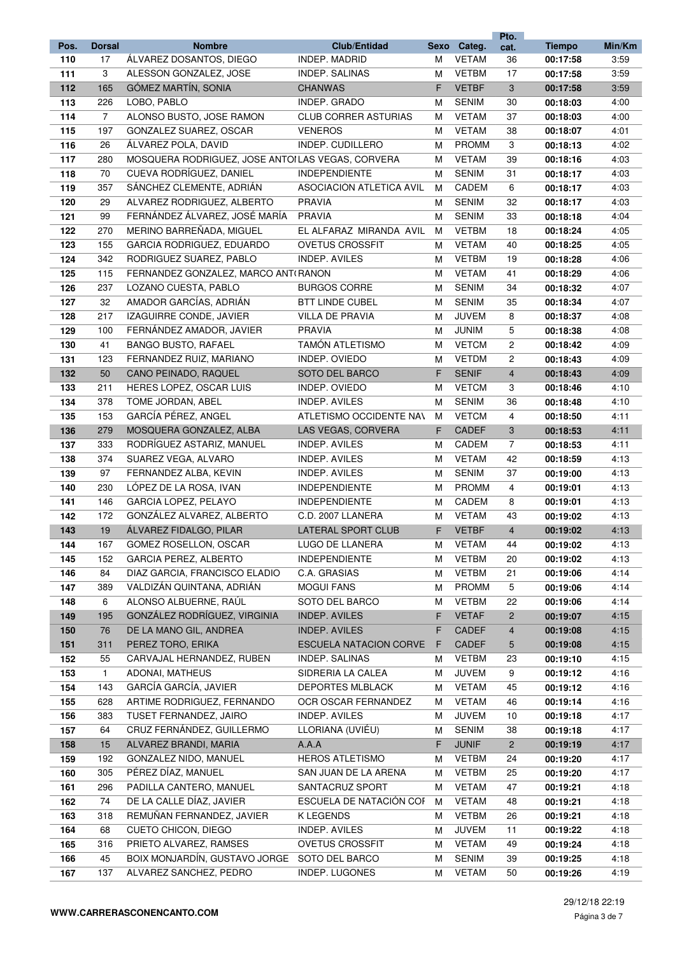|            |                |                                                  |                                                 |        |                              | Pto.           |                      |              |
|------------|----------------|--------------------------------------------------|-------------------------------------------------|--------|------------------------------|----------------|----------------------|--------------|
| Pos.       | <b>Dorsal</b>  | <b>Nombre</b>                                    | <b>Club/Entidad</b>                             | Sexo   | Categ.                       | cat.           | <b>Tiempo</b>        | Min/Km       |
| 110        | 17             | ÁLVAREZ DOSANTOS, DIEGO                          | INDEP. MADRID                                   | M      | <b>VETAM</b>                 | 36             | 00:17:58             | 3:59         |
| 111        | 3              | ALESSON GONZALEZ, JOSE                           | INDEP. SALINAS                                  | м      | <b>VETBM</b>                 | 17             | 00:17:58             | 3:59         |
| 112        | 165            | GÓMEZ MARTÍN, SONIA                              | <b>CHANWAS</b>                                  | F.     | <b>VETBF</b>                 | 3              | 00:17:58             | 3:59         |
| 113        | 226            | LOBO, PABLO                                      | INDEP. GRADO                                    | M      | <b>SENIM</b>                 | 30             | 00:18:03             | 4:00         |
| 114        | $\overline{7}$ | ALONSO BUSTO, JOSE RAMON                         | <b>CLUB CORRER ASTURIAS</b>                     | м      | <b>VETAM</b>                 | 37             | 00:18:03             | 4:00         |
| 115        | 197            | GONZALEZ SUAREZ, OSCAR                           | <b>VENEROS</b>                                  | м      | <b>VETAM</b>                 | 38             | 00:18:07             | 4:01         |
| 116        | 26             | ÁLVAREZ POLA, DAVID                              | INDEP. CUDILLERO                                | м      | <b>PROMM</b>                 | 3              | 00:18:13             | 4:02         |
| 117        | 280            | MOSQUERA RODRIGUEZ, JOSE ANTOILAS VEGAS, CORVERA |                                                 | м      | <b>VETAM</b>                 | 39             | 00:18:16             | 4:03         |
| 118        | 70             | CUEVA RODRÍGUEZ, DANIEL                          | <b>INDEPENDIENTE</b>                            | м      | <b>SENIM</b>                 | 31             | 00:18:17             | 4:03         |
| 119        | 357            | SÁNCHEZ CLEMENTE, ADRIÁN                         | ASOCIACIÓN ATLETICA AVIL                        | м      | CADEM                        | 6              | 00:18:17             | 4:03         |
| 120        | 29             | ALVAREZ RODRIGUEZ, ALBERTO                       | <b>PRAVIA</b>                                   | M      | <b>SENIM</b>                 | 32             | 00:18:17             | 4:03         |
| 121        | 99             | FERNÁNDEZ ÁLVAREZ, JOSÉ MARÍA                    | <b>PRAVIA</b>                                   | м      | <b>SENIM</b>                 | 33             | 00:18:18             | 4:04         |
| 122        | 270            | MERINO BARREÑADA, MIGUEL                         | EL ALFARAZ MIRANDA AVIL                         | м      | <b>VETBM</b>                 | 18             | 00:18:24             | 4:05         |
| 123        | 155            | GARCIA RODRIGUEZ, EDUARDO                        | <b>OVETUS CROSSFIT</b>                          | м      | <b>VETAM</b>                 | 40             | 00:18:25             | 4:05         |
| 124        | 342            | RODRIGUEZ SUAREZ, PABLO                          | INDEP. AVILES                                   | M      | <b>VETBM</b>                 | 19             | 00:18:28             | 4:06         |
| 125        | 115            | FERNANDEZ GONZALEZ, MARCO ANTI RANON             |                                                 | M      | <b>VETAM</b>                 | 41             | 00:18:29             | 4:06         |
| 126        | 237            | LOZANO CUESTA, PABLO                             | <b>BURGOS CORRE</b>                             | м      | <b>SENIM</b>                 | 34             | 00:18:32             | 4:07         |
| 127        | 32             | AMADOR GARCÍAS, ADRIÁN                           | <b>BTT LINDE CUBEL</b>                          | м      | <b>SENIM</b>                 | 35             | 00:18:34             | 4:07         |
| 128        | 217            | IZAGUIRRE CONDE, JAVIER                          | <b>VILLA DE PRAVIA</b>                          | M      | <b>JUVEM</b>                 | 8              | 00:18:37             | 4:08         |
| 129        | 100            | FERNÁNDEZ AMADOR, JAVIER                         | PRAVIA                                          | M      | <b>JUNIM</b>                 | 5              | 00:18:38             | 4:08         |
| 130        | 41             | <b>BANGO BUSTO, RAFAEL</b>                       | <b>TAMÓN ATLETISMO</b>                          | м      | <b>VETCM</b>                 | 2              | 00:18:42             | 4:09         |
| 131        | 123            | FERNANDEZ RUIZ, MARIANO                          | INDEP. OVIEDO                                   | м      | <b>VETDM</b>                 | 2              | 00:18:43             | 4:09         |
| 132        | 50             | CANO PEINADO, RAQUEL                             | SOTO DEL BARCO                                  | F.     | <b>SENIF</b>                 | $\overline{4}$ | 00:18:43             | 4:09         |
| 133        | 211            | HERES LOPEZ, OSCAR LUIS                          | INDEP. OVIEDO                                   | м      | <b>VETCM</b>                 | 3              | 00:18:46             | 4:10         |
| 134        | 378            | TOME JORDAN, ABEL                                | <b>INDEP. AVILES</b>                            | м      | <b>SENIM</b>                 | 36             | 00:18:48             | 4:10         |
| 135        | 153            | GARCÍA PÉREZ, ANGEL                              | ATLETISMO OCCIDENTE NAN                         | м      | <b>VETCM</b>                 | 4              | 00:18:50             | 4:11         |
| 136        | 279            | MOSQUERA GONZALEZ, ALBA                          | LAS VEGAS, CORVERA                              | F.     | <b>CADEF</b>                 | 3              | 00:18:53             | 4:11         |
| 137        | 333            | RODRÍGUEZ ASTARIZ, MANUEL                        | INDEP. AVILES                                   | м      | CADEM                        | $\overline{7}$ | 00:18:53             | 4:11         |
| 138        | 374            | SUAREZ VEGA, ALVARO                              | INDEP. AVILES                                   | м      | <b>VETAM</b>                 | 42             | 00:18:59             | 4:13         |
| 139        | 97             | FERNANDEZ ALBA, KEVIN                            | INDEP. AVILES                                   | м      | <b>SENIM</b>                 | 37             | 00:19:00             | 4:13         |
| 140        | 230            | LÓPEZ DE LA ROSA, IVAN                           | <b>INDEPENDIENTE</b>                            | м      | <b>PROMM</b>                 | 4              | 00:19:01             | 4:13         |
| 141        | 146            | GARCIA LOPEZ, PELAYO                             | <b>INDEPENDIENTE</b>                            | м      | CADEM                        | 8              | 00:19:01             | 4:13         |
| 142        | 172            | GONZÁLEZ ALVAREZ, ALBERTO                        | C.D. 2007 LLANERA                               | м      | <b>VETAM</b>                 | 43             | 00:19:02             | 4:13         |
| 143        | 19             | ÁLVAREZ FIDALGO, PILAR                           | LATERAL SPORT CLUB                              | F.     | <b>VETBF</b>                 | $\overline{4}$ | 00:19:02             | 4:13         |
| 144        | 167            | GOMEZ ROSELLON, OSCAR                            | LUGO DE LLANERA                                 | м      | <b>VETAM</b>                 | 44             | 00:19:02             | 4:13         |
| 145        | 152            | <b>GARCIA PEREZ, ALBERTO</b>                     | <b>INDEPENDIENTE</b>                            | М      | <b>VETBM</b>                 | 20             | 00:19:02             | 4:13         |
| 146        | 84             | DIAZ GARCIA, FRANCISCO ELADIO                    | C.A. GRASIAS                                    | M      | <b>VETBM</b>                 | 21             | 00:19:06             | 4:14         |
| 147        | 389            | VALDIZÁN QUINTANA, ADRIÁN                        | <b>MOGUI FANS</b>                               | M      | <b>PROMM</b>                 | 5              | 00:19:06             | 4:14         |
| 148        | 6              | ALONSO ALBUERNE, RAÚL                            | SOTO DEL BARCO                                  | м      | <b>VETBM</b>                 | 22             | 00:19:06             | 4:14         |
| 149        | 195            | GONZÁLEZ RODRÍGUEZ, VIRGINIA                     | <b>INDEP. AVILES</b>                            | F      | <b>VETAF</b><br><b>CADEF</b> | $\overline{c}$ | 00:19:07             | 4:15         |
| 150        | 76             | DE LA MANO GIL, ANDREA<br>PEREZ TORO, ERIKA      | <b>INDEP. AVILES</b>                            | F      |                              | 4              | 00:19:08             | 4:15         |
| 151        | 311<br>55      | CARVAJAL HERNANDEZ, RUBEN                        | <b>ESCUELA NATACION CORVE</b><br>INDEP. SALINAS | F      | <b>CADEF</b><br><b>VETBM</b> | 5<br>23        | 00:19:08             | 4:15<br>4:15 |
| 152        | $\mathbf{1}$   | ADONAI, MATHEUS                                  | SIDRERIA LA CALEA                               | M      | JUVEM                        | 9              | 00:19:10             | 4:16         |
| 153<br>154 | 143            | GARCÍA GARCÍA, JAVIER                            | DEPORTES MLBLACK                                | м      | <b>VETAM</b>                 | 45             | 00:19:12<br>00:19:12 | 4:16         |
| 155        | 628            | ARTIME RODRIGUEZ, FERNANDO                       | OCR OSCAR FERNANDEZ                             | м<br>м | <b>VETAM</b>                 | 46             | 00:19:14             | 4:16         |
| 156        | 383            | TUSET FERNANDEZ, JAIRO                           | INDEP. AVILES                                   | м      | JUVEM                        | 10             | 00:19:18             | 4:17         |
| 157        | 64             | CRUZ FERNÁNDEZ, GUILLERMO                        | LLORIANA (UVIÉU)                                | м      | <b>SENIM</b>                 | 38             | 00:19:18             | 4:17         |
| 158        | 15             | ALVAREZ BRANDI, MARIA                            | A.A.A                                           | F      | <b>JUNIF</b>                 | $\overline{c}$ | 00:19:19             | 4:17         |
| 159        | 192            | GONZALEZ NIDO, MANUEL                            | <b>HEROS ATLETISMO</b>                          | м      | <b>VETBM</b>                 | 24             | 00:19:20             | 4:17         |
| 160        | 305            | PÉREZ DÍAZ, MANUEL                               | SAN JUAN DE LA ARENA                            | м      | <b>VETBM</b>                 | 25             | 00:19:20             | 4:17         |
| 161        | 296            | PADILLA CANTERO, MANUEL                          | SANTACRUZ SPORT                                 | м      | <b>VETAM</b>                 | 47             | 00:19:21             | 4:18         |
| 162        | 74             | DE LA CALLE DÍAZ, JAVIER                         | ESCUELA DE NATACIÓN COF                         | M      | <b>VETAM</b>                 | 48             | 00:19:21             | 4:18         |
| 163        | 318            | REMUÑAN FERNANDEZ, JAVIER                        | K LEGENDS                                       | м      | <b>VETBM</b>                 | 26             | 00:19:21             | 4:18         |
| 164        | 68             | CUETO CHICON, DIEGO                              | INDEP. AVILES                                   | м      | <b>JUVEM</b>                 | 11             | 00:19:22             | 4:18         |
| 165        | 316            | PRIETO ALVAREZ, RAMSES                           | <b>OVETUS CROSSFIT</b>                          | м      | <b>VETAM</b>                 | 49             | 00:19:24             | 4:18         |
| 166        | 45             | BOIX MONJARDÍN, GUSTAVO JORGE                    | SOTO DEL BARCO                                  | м      | <b>SENIM</b>                 | 39             | 00:19:25             | 4:18         |
| 167        | 137            | ALVAREZ SANCHEZ, PEDRO                           | INDEP. LUGONES                                  | м      | <b>VETAM</b>                 | 50             | 00:19:26             | 4:19         |
|            |                |                                                  |                                                 |        |                              |                |                      |              |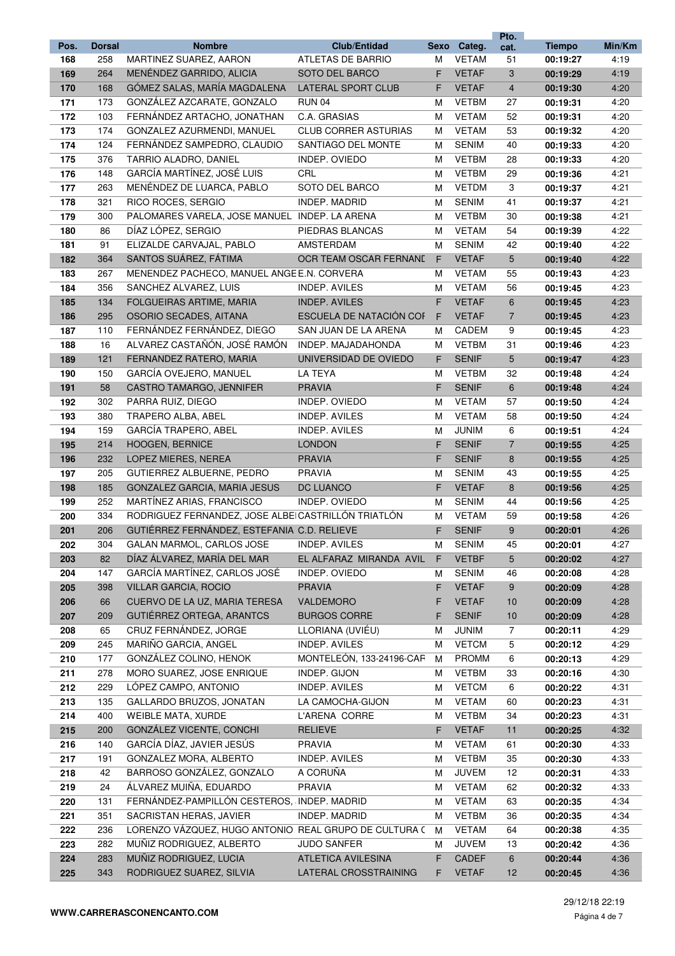|            |               |                                                             |                             |        |                              | Pto.                    |                      |              |
|------------|---------------|-------------------------------------------------------------|-----------------------------|--------|------------------------------|-------------------------|----------------------|--------------|
| Pos.       | <b>Dorsal</b> | <b>Nombre</b>                                               | <b>Club/Entidad</b>         | Sexo   | Categ.                       | cat.                    | <b>Tiempo</b>        | Min/Km       |
| 168        | 258           | MARTINEZ SUAREZ, AARON                                      | ATLETAS DE BARRIO           | м      | <b>VETAM</b>                 | 51                      | 00:19:27             | 4:19         |
| 169        | 264           | MENÉNDEZ GARRIDO, ALICIA                                    | SOTO DEL BARCO              | F      | <b>VETAF</b>                 | 3                       | 00:19:29             | 4:19         |
| 170        | 168           | GÓMEZ SALAS, MARÍA MAGDALENA                                | LATERAL SPORT CLUB          | F      | <b>VETAF</b>                 | $\overline{\mathbf{4}}$ | 00:19:30             | 4:20         |
| 171        | 173           | GONZÁLEZ AZCARATE, GONZALO                                  | <b>RUN 04</b>               | м      | <b>VETBM</b>                 | 27                      | 00:19:31             | 4:20         |
| 172        | 103           | FERNÁNDEZ ARTACHO, JONATHAN                                 | C.A. GRASIAS                | м      | <b>VETAM</b>                 | 52                      | 00:19:31             | 4:20         |
| 173        | 174           | GONZALEZ AZURMENDI, MANUEL                                  | <b>CLUB CORRER ASTURIAS</b> | м      | <b>VETAM</b>                 | 53                      | 00:19:32             | 4:20         |
| 174        | 124           | FERNÁNDEZ SAMPEDRO, CLAUDIO                                 | SANTIAGO DEL MONTE          | м      | <b>SENIM</b>                 | 40                      | 00:19:33             | 4:20         |
| 175        | 376           | TARRIO ALADRO, DANIEL                                       | INDEP. OVIEDO               | м      | <b>VETBM</b>                 | 28                      | 00:19:33             | 4:20         |
| 176        | 148           | GARCÍA MARTÍNEZ, JOSÉ LUIS                                  | CRL                         | м      | <b>VETBM</b>                 | 29                      | 00:19:36             | 4:21         |
| 177        | 263           | MENÉNDEZ DE LUARCA, PABLO                                   | SOTO DEL BARCO              | м      | <b>VETDM</b>                 | 3                       | 00:19:37             | 4:21         |
| 178        | 321           | RICO ROCES, SERGIO                                          | INDEP. MADRID               | м      | <b>SENIM</b>                 | 41                      | 00:19:37             | 4:21         |
| 179        | 300           | PALOMARES VARELA, JOSE MANUEL INDEP. LA ARENA               |                             | м      | <b>VETBM</b>                 | 30                      | 00:19:38             | 4:21         |
| 180        | 86            | DÍAZ LÓPEZ, SERGIO                                          | PIEDRAS BLANCAS             | м      | <b>VETAM</b>                 | 54                      | 00:19:39             | 4:22         |
| 181        | 91            | ELIZALDE CARVAJAL, PABLO                                    | AMSTERDAM                   | м      | <b>SENIM</b>                 | 42                      | 00:19:40             | 4:22         |
| 182        | 364           | SANTOS SUÁREZ, FÁTIMA                                       | OCR TEAM OSCAR FERNANI      | F      | <b>VETAF</b>                 | 5                       | 00:19:40             | 4:22         |
| 183        | 267           | MENENDEZ PACHECO, MANUEL ANGE E.N. CORVERA                  |                             | м      | <b>VETAM</b>                 | 55                      | 00:19:43             | 4:23         |
| 184        | 356           | SANCHEZ ALVAREZ, LUIS                                       | INDEP. AVILES               | м      | <b>VETAM</b>                 | 56                      | 00:19:45             | 4:23         |
| 185        | 134           | FOLGUEIRAS ARTIME, MARIA                                    | <b>INDEP. AVILES</b>        | F.     | <b>VETAF</b>                 | 6                       | 00:19:45             | 4:23         |
| 186        | 295           | OSORIO SECADES, AITANA                                      | ESCUELA DE NATACIÓN COF     | F      | <b>VETAF</b>                 | 7                       | 00:19:45             | 4:23         |
| 187        | 110           | FERNÁNDEZ FERNÁNDEZ, DIEGO                                  | SAN JUAN DE LA ARENA        | м      | CADEM                        | 9                       | 00:19:45             | 4:23         |
| 188        | 16            | ALVAREZ CASTAÑÓN, JOSÉ RAMÓN                                | INDEP. MAJADAHONDA          | м      | <b>VETBM</b>                 | 31                      | 00:19:46             | 4:23         |
| 189        | 121           | FERNANDEZ RATERO, MARIA                                     | UNIVERSIDAD DE OVIEDO       | F      | <b>SENIF</b>                 | 5                       | 00:19:47             | 4:23         |
| 190        | 150           | GARCÍA OVEJERO, MANUEL                                      | <b>LA TEYA</b>              | M      | <b>VETBM</b>                 | 32                      | 00:19:48             | 4:24         |
| 191        | 58            | CASTRO TAMARGO, JENNIFER                                    | <b>PRAVIA</b>               | F      | <b>SENIF</b>                 | 6                       | 00:19:48             | 4:24         |
| 192        | 302           | PARRA RUIZ, DIEGO                                           | INDEP. OVIEDO               | м      | <b>VETAM</b>                 | 57                      | 00:19:50             | 4:24         |
| 193        | 380           | TRAPERO ALBA, ABEL                                          | <b>INDEP. AVILES</b>        | м      | <b>VETAM</b>                 | 58                      | 00:19:50             | 4:24         |
| 194        | 159           | GARCÍA TRAPERO, ABEL                                        | <b>INDEP. AVILES</b>        | м      | <b>JUNIM</b>                 | 6                       | 00:19:51             | 4:24         |
| 195        | 214           | HOOGEN, BERNICE                                             | <b>LONDON</b>               | F      | <b>SENIF</b>                 | $\overline{7}$          | 00:19:55             | 4:25         |
| 196        | 232           | LOPEZ MIERES, NEREA                                         | <b>PRAVIA</b>               | F      | <b>SENIF</b>                 | 8                       | 00:19:55             | 4:25         |
| 197        | 205           | <b>GUTIERREZ ALBUERNE, PEDRO</b>                            | <b>PRAVIA</b>               | м      | <b>SENIM</b>                 | 43                      | 00:19:55             | 4:25         |
| 198        | 185           | GONZALEZ GARCIA, MARIA JESUS                                | DC LUANCO                   | F.     | <b>VETAF</b>                 | 8                       | 00:19:56             | 4:25         |
| 199        | 252           | MARTÍNEZ ARIAS, FRANCISCO                                   | INDEP. OVIEDO               | м      | <b>SENIM</b>                 | 44                      | 00:19:56             | 4:25         |
| 200        | 334           | RODRIGUEZ FERNANDEZ, JOSE ALBEICASTRILLÓN TRIATLÓN          |                             | м      | <b>VETAM</b>                 | 59                      | 00:19:58             | 4:26         |
| 201        | 206           | GUTIÉRREZ FERNÁNDEZ, ESTEFANIA C.D. RELIEVE                 |                             | F      | <b>SENIF</b>                 | 9                       | 00:20:01             | 4:26         |
| 202        | 304           | GALAN MARMOL, CARLOS JOSE                                   | <b>INDEP. AVILES</b>        | м      | <b>SENIM</b>                 | 45                      | 00:20:01             | 4:27         |
| 203        | 82            | DÍAZ ÁLVAREZ, MARÍA DEL MAR<br>GARCÍA MARTÍNEZ, CARLOS JOSÉ | EL ALFARAZ MIRANDA AVIL     | F      | <b>VETBF</b>                 | 5                       | 00:20:02             | 4:27         |
| 204        | 147           |                                                             | INDEP. OVIEDO               | м      | <b>SENIM</b>                 | 46                      | 00:20:08             | 4:28         |
| 205        | 398           | VILLAR GARCIA, ROCIO                                        | <b>PRAVIA</b><br>VALDEMORO  | F.     | <b>VETAF</b>                 | 9                       | 00:20:09<br>00:20:09 | 4:28         |
| 206<br>207 | 66<br>209     | CUERVO DE LA UZ, MARIA TERESA<br>GUTIÉRREZ ORTEGA, ARANTCS  | <b>BURGOS CORRE</b>         | F<br>F | <b>VETAF</b><br><b>SENIF</b> | 10<br>10                | 00:20:09             | 4:28<br>4:28 |
| 208        | 65            | CRUZ FERNÁNDEZ, JORGE                                       | LLORIANA (UVIEU)            | м      | <b>JUNIM</b>                 | $\overline{7}$          | 00:20:11             | 4:29         |
| 209        | 245           | MARIÑO GARCIA, ANGEL                                        | INDEP. AVILES               | м      | <b>VETCM</b>                 | 5                       | 00:20:12             | 4:29         |
| 210        | 177           | GONZÁLEZ COLINO, HENOK                                      | MONTELEON, 133-24196-CAF    | м      | <b>PROMM</b>                 | 6                       | 00:20:13             | 4:29         |
| 211        | 278           | MORO SUAREZ, JOSE ENRIQUE                                   | INDEP. GIJON                | м      | <b>VETBM</b>                 | 33                      | 00:20:16             | 4:30         |
| 212        | 229           | LÓPEZ CAMPO, ANTONIO                                        | INDEP. AVILES               | м      | <b>VETCM</b>                 | 6                       | 00:20:22             | 4:31         |
| 213        | 135           | GALLARDO BRUZOS, JONATAN                                    | LA CAMOCHA-GIJON            | м      | <b>VETAM</b>                 | 60                      | 00:20:23             | 4:31         |
| 214        | 400           | WEIBLE MATA, XURDE                                          | L'ARENA CORRE               | м      | <b>VETBM</b>                 | 34                      | 00:20:23             | 4:31         |
| 215        | 200           | <b>GONZALEZ VICENTE, CONCHI</b>                             | <b>RELIEVE</b>              | F.     | <b>VETAF</b>                 | 11                      | 00:20:25             | 4:32         |
| 216        | 140           | GARCÍA DÍAZ, JAVIER JESÚS                                   | <b>PRAVIA</b>               | M      | <b>VETAM</b>                 | 61                      | 00:20:30             | 4:33         |
| 217        | 191           | GONZALEZ MORA, ALBERTO                                      | INDEP. AVILES               | M      | <b>VETBM</b>                 | 35                      | 00:20:30             | 4:33         |
| 218        | 42            | BARROSO GONZÁLEZ, GONZALO                                   | A CORUÑA                    | м      | <b>JUVEM</b>                 | 12                      | 00:20:31             | 4:33         |
| 219        | 24            | ÁLVAREZ MUIÑA, EDUARDO                                      | PRAVIA                      | м      | <b>VETAM</b>                 | 62                      | 00:20:32             | 4:33         |
| 220        | 131           | FERNÁNDEZ-PAMPILLÓN CESTEROS, INDEP. MADRID                 |                             | M      | <b>VETAM</b>                 | 63                      | 00:20:35             | 4:34         |
| 221        | 351           | SACRISTAN HERAS, JAVIER                                     | INDEP. MADRID               | м      | <b>VETBM</b>                 | 36                      | 00:20:35             | 4:34         |
| 222        | 236           | LORENZO VÁZQUEZ, HUGO ANTONIO REAL GRUPO DE CULTURA (       |                             | M      | <b>VETAM</b>                 | 64                      | 00:20:38             | 4:35         |
| 223        | 282           | MUÑIZ RODRIGUEZ, ALBERTO                                    | <b>JUDO SANFER</b>          | м      | <b>JUVEM</b>                 | 13                      | 00:20:42             | 4:36         |
| 224        | 283           | MUÑIZ RODRIGUEZ, LUCIA                                      | <b>ATLETICA AVILESINA</b>   | F      | <b>CADEF</b>                 | 6                       | 00:20:44             | 4:36         |
| 225        | 343           | RODRIGUEZ SUAREZ, SILVIA                                    | LATERAL CROSSTRAINING       | F.     | <b>VETAF</b>                 | 12                      | 00:20:45             | 4:36         |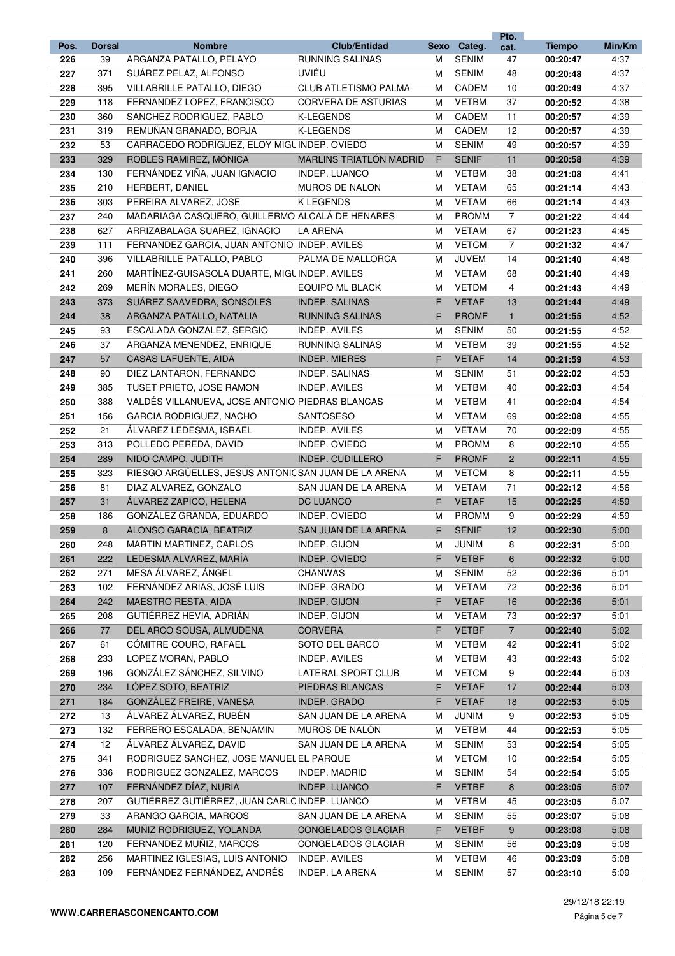|      |               |                                                      |                                |      |              | Pto.           |               |        |
|------|---------------|------------------------------------------------------|--------------------------------|------|--------------|----------------|---------------|--------|
| Pos. | <b>Dorsal</b> | <b>Nombre</b>                                        | <b>Club/Entidad</b>            | Sexo | Categ.       | cat.           | <b>Tiempo</b> | Min/Km |
| 226  | 39            | ARGANZA PATALLO, PELAYO                              | <b>RUNNING SALINAS</b>         | м    | <b>SENIM</b> | 47             | 00:20:47      | 4:37   |
| 227  | 371           | SUÁREZ PELAZ, ALFONSO                                | UVIÉU                          | м    | <b>SENIM</b> | 48             | 00:20:48      | 4:37   |
| 228  | 395           | VILLABRILLE PATALLO, DIEGO                           | <b>CLUB ATLETISMO PALMA</b>    | м    | CADEM        | 10             | 00:20:49      | 4:37   |
| 229  | 118           | FERNANDEZ LOPEZ, FRANCISCO                           | <b>CORVERA DE ASTURIAS</b>     | М    | <b>VETBM</b> | 37             | 00:20:52      | 4:38   |
| 230  | 360           | SANCHEZ RODRIGUEZ, PABLO                             | <b>K-LEGENDS</b>               | М    | CADEM        | 11             | 00:20:57      | 4:39   |
| 231  | 319           | REMUÑAN GRANADO, BORJA                               | <b>K-LEGENDS</b>               | м    | CADEM        | 12             | 00:20:57      | 4:39   |
| 232  | 53            | CARRACEDO RODRÍGUEZ, ELOY MIGL INDEP. OVIEDO         |                                | м    | <b>SENIM</b> | 49             | 00:20:57      | 4:39   |
| 233  | 329           | ROBLES RAMIREZ, MÓNICA                               | <b>MARLINS TRIATLON MADRID</b> | F    | <b>SENIF</b> | 11             | 00:20:58      | 4:39   |
| 234  | 130           | FERNÁNDEZ VIÑA, JUAN IGNACIO                         | <b>INDEP. LUANCO</b>           | М    | <b>VETBM</b> | 38             | 00:21:08      | 4:41   |
| 235  | 210           | HERBERT, DANIEL                                      | MUROS DE NALON                 | M    | <b>VETAM</b> | 65             | 00:21:14      | 4:43   |
| 236  | 303           | PEREIRA ALVAREZ, JOSE                                | K LEGENDS                      | м    | <b>VETAM</b> | 66             | 00:21:14      | 4:43   |
| 237  | 240           | MADARIAGA CASQUERO, GUILLERMO ALCALÁ DE HENARES      |                                | М    | <b>PROMM</b> | $\overline{7}$ | 00:21:22      | 4:44   |
| 238  | 627           | ARRIZABALAGA SUAREZ, IGNACIO                         | LA ARENA                       | M    | <b>VETAM</b> | 67             | 00:21:23      | 4:45   |
| 239  | 111           | FERNANDEZ GARCIA, JUAN ANTONIO INDEP. AVILES         |                                | M    | <b>VETCM</b> | $\overline{7}$ | 00:21:32      | 4:47   |
| 240  | 396           | VILLABRILLE PATALLO, PABLO                           | PALMA DE MALLORCA              | M    | <b>JUVEM</b> | 14             | 00:21:40      | 4:48   |
| 241  | 260           | MARTÍNEZ-GUISASOLA DUARTE, MIGLINDEP. AVILES         |                                | M    | <b>VETAM</b> | 68             | 00:21:40      | 4:49   |
| 242  | 269           | MERÍN MORALES, DIEGO                                 | EQUIPO ML BLACK                | М    | <b>VETDM</b> | 4              | 00:21:43      | 4:49   |
| 243  | 373           | SUÁREZ SAAVEDRA, SONSOLES                            | <b>INDEP. SALINAS</b>          | F    | <b>VETAF</b> | 13             | 00:21:44      | 4:49   |
| 244  | 38            | ARGANZA PATALLO, NATALIA                             | <b>RUNNING SALINAS</b>         | F    | <b>PROMF</b> | $\mathbf{1}$   | 00:21:55      | 4:52   |
| 245  | 93            | ESCALADA GONZALEZ, SERGIO                            | <b>INDEP. AVILES</b>           | M    | <b>SENIM</b> | 50             | 00:21:55      | 4:52   |
| 246  | 37            | ARGANZA MENENDEZ, ENRIQUE                            | RUNNING SALINAS                | м    | <b>VETBM</b> | 39             | 00:21:55      | 4:52   |
| 247  | 57            | <b>CASAS LAFUENTE, AIDA</b>                          | <b>INDEP. MIERES</b>           | F.   | <b>VETAF</b> | 14             | 00:21:59      | 4:53   |
| 248  | 90            | DIEZ LANTARON, FERNANDO                              | INDEP. SALINAS                 | M    | <b>SENIM</b> | 51             | 00:22:02      | 4:53   |
| 249  | 385           | TUSET PRIETO, JOSE RAMON                             | <b>INDEP. AVILES</b>           | м    | <b>VETBM</b> | 40             | 00:22:03      | 4:54   |
| 250  | 388           | VALDÉS VILLANUEVA, JOSE ANTONIO PIEDRAS BLANCAS      |                                | М    | <b>VETBM</b> | 41             | 00:22:04      | 4:54   |
| 251  | 156           | GARCIA RODRIGUEZ, NACHO                              | <b>SANTOSESO</b>               | м    | <b>VETAM</b> | 69             | 00:22:08      | 4:55   |
| 252  | 21            | ALVAREZ LEDESMA, ISRAEL                              | INDEP. AVILES                  | м    | <b>VETAM</b> | 70             | 00:22:09      | 4:55   |
| 253  | 313           | POLLEDO PEREDA, DAVID                                | INDEP. OVIEDO                  | м    | <b>PROMM</b> | 8              | 00:22:10      | 4:55   |
| 254  | 289           | NIDO CAMPO, JUDITH                                   | <b>INDEP. CUDILLERO</b>        | F    | <b>PROMF</b> | 2              | 00:22:11      | 4:55   |
| 255  | 323           | RIESGO ARGÜELLES, JESÚS ANTONIC SAN JUAN DE LA ARENA |                                | М    | <b>VETCM</b> | 8              | 00:22:11      | 4:55   |
| 256  | 81            | DIAZ ALVAREZ, GONZALO                                | SAN JUAN DE LA ARENA           | М    | <b>VETAM</b> | 71             | 00:22:12      | 4:56   |
| 257  | 31            | ÁLVAREZ ZAPICO, HELENA                               | DC LUANCO                      | F    | <b>VETAF</b> | 15             | 00:22:25      | 4:59   |
| 258  | 186           | GONZÁLEZ GRANDA, EDUARDO                             | INDEP. OVIEDO                  | М    | <b>PROMM</b> | 9              | 00:22:29      | 4:59   |
| 259  | 8             | ALONSO GARACIA, BEATRIZ                              | SAN JUAN DE LA ARENA           | F    | <b>SENIF</b> | 12             | 00:22:30      | 5:00   |
| 260  | 248           | MARTIN MARTINEZ, CARLOS                              | INDEP. GIJON                   | М    | <b>JUNIM</b> | 8              | 00:22:31      | 5:00   |
| 261  | 222           | LEDESMA ALVAREZ, MARÍA                               | INDEP. OVIEDO                  | F    | <b>VETBF</b> | 6              | 00:22:32      | 5:00   |
| 262  | 271           | MESA ÁLVAREZ, ÁNGEL                                  | <b>CHANWAS</b>                 | M    | <b>SENIM</b> | 52             | 00:22:36      | 5:01   |
| 263  | 102           | FERNÁNDEZ ARIAS, JOSÉ LUIS                           | INDEP. GRADO                   | М    | <b>VETAM</b> | 72             | 00:22:36      | 5:01   |
| 264  | 242           | MAESTRO RESTA, AIDA                                  | INDEP. GIJON                   | F    | <b>VETAF</b> | 16             | 00:22:36      | 5:01   |
| 265  | 208           | GUTIÉRREZ HEVIA, ADRIÁN                              | INDEP. GIJON                   | M    | <b>VETAM</b> | 73             | 00:22:37      | 5:01   |
| 266  | 77            | DEL ARCO SOUSA, ALMUDENA                             | <b>CORVERA</b>                 | F    | <b>VETBF</b> | $\overline{7}$ | 00:22:40      | 5:02   |
| 267  | 61            | CÓMITRE COURO, RAFAEL                                | SOTO DEL BARCO                 | M    | <b>VETBM</b> | 42             | 00:22:41      | 5:02   |
| 268  | 233           | LOPEZ MORAN, PABLO                                   | INDEP. AVILES                  | м    | <b>VETBM</b> | 43             | 00:22:43      | 5:02   |
| 269  | 196           | GONZÁLEZ SÁNCHEZ, SILVINO                            | LATERAL SPORT CLUB             | м    | <b>VETCM</b> | 9              | 00:22:44      | 5:03   |
| 270  | 234           | LÓPEZ SOTO, BEATRIZ                                  | PIEDRAS BLANCAS                | F    | <b>VETAF</b> | 17             | 00:22:44      | 5:03   |
| 271  | 184           | GONZÁLEZ FREIRE, VANESA                              | INDEP. GRADO                   | F    | <b>VETAF</b> | 18             | 00:22:53      | 5:05   |
| 272  | 13            | ÁLVAREZ ÁLVAREZ, RUBÉN                               | SAN JUAN DE LA ARENA           | M    | <b>JUNIM</b> | 9              | 00:22:53      | 5:05   |
| 273  | 132           | FERRERO ESCALADA, BENJAMIN                           | MUROS DE NALÓN                 | М    | <b>VETBM</b> | 44             | 00:22:53      | 5:05   |
| 274  | 12            | ÁLVAREZ ÁLVAREZ, DAVID                               | SAN JUAN DE LA ARENA           | м    | <b>SENIM</b> | 53             | 00:22:54      | 5:05   |
| 275  | 341           | RODRIGUEZ SANCHEZ, JOSE MANUEL EL PARQUE             |                                | M    | <b>VETCM</b> | 10             | 00:22:54      | 5:05   |
| 276  | 336           | RODRIGUEZ GONZALEZ, MARCOS                           | INDEP. MADRID                  | M    | <b>SENIM</b> | 54             | 00:22:54      | 5:05   |
| 277  | 107           | FERNÁNDEZ DÍAZ, NURIA                                | INDEP. LUANCO                  | F    | <b>VETBF</b> | 8              | 00:23:05      | 5:07   |
| 278  | 207           | GUTIÉRREZ GUTIÉRREZ, JUAN CARLC INDEP. LUANCO        |                                | м    | <b>VETBM</b> | 45             | 00:23:05      | 5:07   |
| 279  | 33            | ARANGO GARCIA, MARCOS                                | SAN JUAN DE LA ARENA           | м    | <b>SENIM</b> | 55             | 00:23:07      | 5:08   |
| 280  | 284           | MUÑIZ RODRIGUEZ, YOLANDA                             | CONGELADOS GLACIAR             | F    | <b>VETBF</b> | 9              | 00:23:08      | 5:08   |
| 281  | 120           | FERNANDEZ MUÑIZ, MARCOS                              | CONGELADOS GLACIAR             | M    | <b>SENIM</b> | 56             | 00:23:09      | 5:08   |
| 282  | 256           | MARTINEZ IGLESIAS, LUIS ANTONIO                      | INDEP. AVILES                  | M    | <b>VETBM</b> | 46             | 00:23:09      | 5:08   |
| 283  | 109           | FERNÁNDEZ FERNÁNDEZ, ANDRÉS                          | INDEP. LA ARENA                | M    | SENIM        | 57             | 00:23:10      | 5:09   |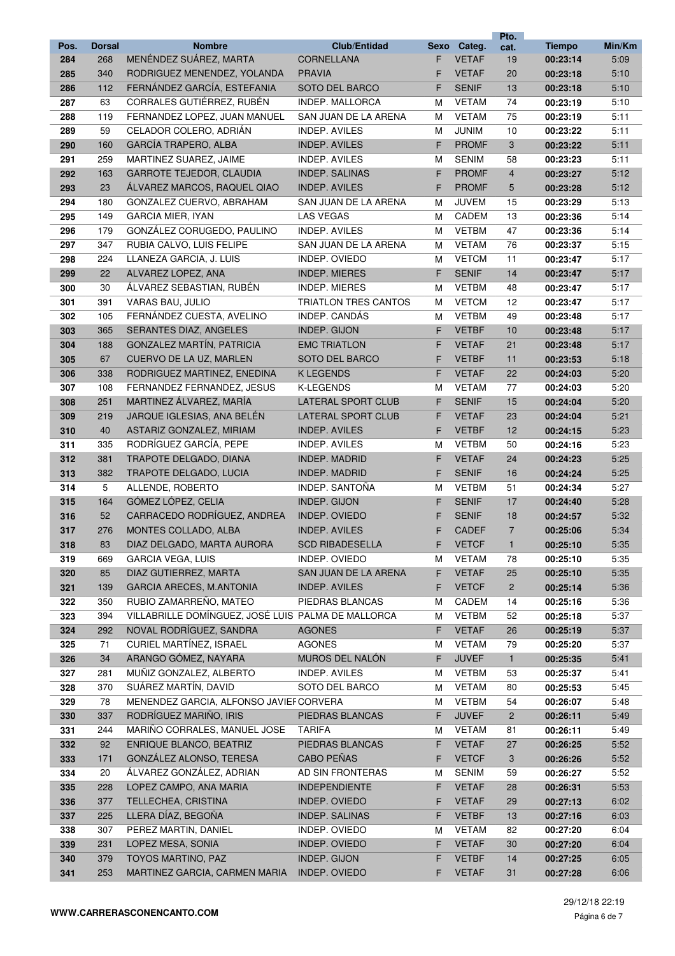|      |               |                                                    |                           |      |              | Pto.           |               |        |
|------|---------------|----------------------------------------------------|---------------------------|------|--------------|----------------|---------------|--------|
| Pos. | <b>Dorsal</b> | <b>Nombre</b>                                      | <b>Club/Entidad</b>       | Sexo | Categ.       | cat.           | <b>Tiempo</b> | Min/Km |
| 284  | 268           | MENÉNDEZ SUÁREZ, MARTA                             | <b>CORNELLANA</b>         | F    | <b>VETAF</b> | 19             | 00:23:14      | 5:09   |
| 285  | 340           | RODRIGUEZ MENENDEZ, YOLANDA                        | <b>PRAVIA</b>             | F    | <b>VETAF</b> | 20             | 00:23:18      | 5:10   |
| 286  | 112           | FERNÁNDEZ GARCÍA, ESTEFANIA                        | SOTO DEL BARCO            | F    | <b>SENIF</b> | 13             | 00:23:18      | 5:10   |
| 287  | 63            | CORRALES GUTIÉRREZ, RUBÉN                          | INDEP. MALLORCA           | м    | <b>VETAM</b> | 74             | 00:23:19      | 5:10   |
| 288  | 119           | FERNANDEZ LOPEZ, JUAN MANUEL                       | SAN JUAN DE LA ARENA      | м    | <b>VETAM</b> | 75             | 00:23:19      | 5:11   |
| 289  | 59            | CELADOR COLERO, ADRIÁN                             | <b>INDEP. AVILES</b>      | м    | <b>JUNIM</b> | 10             | 00:23:22      | 5:11   |
| 290  | 160           | <b>GARCÍA TRAPERO, ALBA</b>                        | <b>INDEP. AVILES</b>      | F    | <b>PROMF</b> | 3              | 00:23:22      | 5:11   |
| 291  | 259           | MARTINEZ SUAREZ, JAIME                             | <b>INDEP. AVILES</b>      | М    | <b>SENIM</b> | 58             | 00:23:23      | 5:11   |
| 292  | 163           | <b>GARROTE TEJEDOR, CLAUDIA</b>                    | <b>INDEP. SALINAS</b>     | F.   | <b>PROMF</b> | $\overline{4}$ | 00:23:27      | 5:12   |
| 293  | 23            | ÁLVAREZ MARCOS, RAQUEL QIAO                        | <b>INDEP. AVILES</b>      | F    | <b>PROMF</b> | 5              | 00:23:28      | 5:12   |
| 294  | 180           | GONZALEZ CUERVO, ABRAHAM                           | SAN JUAN DE LA ARENA      | м    | <b>JUVEM</b> | 15             | 00:23:29      | 5:13   |
| 295  | 149           | <b>GARCIA MIER, IYAN</b>                           | LAS VEGAS                 | м    | CADEM        | 13             | 00:23:36      | 5:14   |
| 296  | 179           | GONZÁLEZ CORUGEDO, PAULINO                         | <b>INDEP. AVILES</b>      | M    | <b>VETBM</b> | 47             | 00:23:36      | 5:14   |
| 297  | 347           | RUBIA CALVO, LUIS FELIPE                           | SAN JUAN DE LA ARENA      | м    | <b>VETAM</b> | 76             | 00:23:37      | 5:15   |
| 298  | 224           | LLANEZA GARCIA, J. LUIS                            | INDEP. OVIEDO             | м    | <b>VETCM</b> | 11             | 00:23:47      | 5:17   |
| 299  | 22            | ALVAREZ LOPEZ, ANA                                 | <b>INDEP. MIERES</b>      | F    | <b>SENIF</b> | 14             | 00:23:47      | 5:17   |
| 300  | 30            | ÁLVAREZ SEBASTIAN, RUBÉN                           | <b>INDEP. MIERES</b>      | M    | <b>VETBM</b> | 48             | 00:23:47      | 5:17   |
| 301  | 391           | VARAS BAU, JULIO                                   | TRIATLON TRES CANTOS      | м    | <b>VETCM</b> | 12             | 00:23:47      | 5:17   |
| 302  | 105           | FERNÁNDEZ CUESTA, AVELINO                          | INDEP. CANDÁS             | м    | <b>VETBM</b> | 49             | 00:23:48      | 5:17   |
| 303  | 365           | <b>SERANTES DIAZ, ANGELES</b>                      | INDEP. GIJON              | F    | <b>VETBF</b> | 10             | 00:23:48      | 5:17   |
| 304  | 188           | <b>GONZALEZ MARTÍN, PATRICIA</b>                   | <b>EMC TRIATLON</b>       | F    | <b>VETAF</b> | 21             | 00:23:48      | 5:17   |
|      | 67            | CUERVO DE LA UZ, MARLEN                            | <b>SOTO DEL BARCO</b>     | F    | <b>VETBF</b> | 11             |               | 5:18   |
| 305  |               |                                                    | <b>K LEGENDS</b>          |      | <b>VETAF</b> | 22             | 00:23:53      |        |
| 306  | 338           | RODRIGUEZ MARTINEZ, ENEDINA                        |                           | F    |              |                | 00:24:03      | 5:20   |
| 307  | 108           | FERNANDEZ FERNANDEZ, JESUS                         | <b>K-LEGENDS</b>          | м    | <b>VETAM</b> | 77             | 00:24:03      | 5:20   |
| 308  | 251           | MARTINEZ ÁLVAREZ, MARÍA                            | <b>LATERAL SPORT CLUB</b> | F.   | <b>SENIF</b> | 15             | 00:24:04      | 5:20   |
| 309  | 219           | JARQUE IGLESIAS, ANA BELÉN                         | LATERAL SPORT CLUB        | F    | <b>VETAF</b> | 23             | 00:24:04      | 5:21   |
| 310  | 40            | ASTARIZ GONZALEZ, MIRIAM                           | <b>INDEP. AVILES</b>      | F    | <b>VETBF</b> | 12             | 00:24:15      | 5:23   |
| 311  | 335           | RODRÍGUEZ GARCÍA, PEPE                             | <b>INDEP. AVILES</b>      | M    | <b>VETBM</b> | 50             | 00:24:16      | 5:23   |
| 312  | 381           | TRAPOTE DELGADO, DIANA                             | <b>INDEP. MADRID</b>      | F    | <b>VETAF</b> | 24             | 00:24:23      | 5:25   |
| 313  | 382           | TRAPOTE DELGADO, LUCIA                             | <b>INDEP. MADRID</b>      | F    | <b>SENIF</b> | 16             | 00:24:24      | 5:25   |
| 314  | 5             | ALLENDE, ROBERTO                                   | <b>INDEP. SANTOÑA</b>     | м    | <b>VETBM</b> | 51             | 00:24:34      | 5:27   |
| 315  | 164           | GÓMEZ LÓPEZ, CELIA                                 | INDEP. GIJON              | F    | <b>SENIF</b> | 17             | 00:24:40      | 5:28   |
| 316  | 52            | CARRACEDO RODRÍGUEZ, ANDREA                        | <b>INDEP. OVIEDO</b>      | F    | <b>SENIF</b> | 18             | 00:24:57      | 5:32   |
| 317  | 276           | MONTES COLLADO, ALBA                               | <b>INDEP. AVILES</b>      | F    | <b>CADEF</b> | $\overline{7}$ | 00:25:06      | 5:34   |
| 318  | 83            | DIAZ DELGADO, MARTA AURORA                         | <b>SCD RIBADESELLA</b>    | F    | <b>VETCF</b> | $\mathbf{1}$   | 00:25:10      | 5:35   |
| 319  | 669           | <b>GARCIA VEGA, LUIS</b>                           | INDEP. OVIEDO             | м    | <b>VETAM</b> | 78             | 00:25:10      | 5:35   |
| 320  | 85            | DIAZ GUTIERREZ, MARTA                              | SAN JUAN DE LA ARENA      | F.   | <b>VETAF</b> | 25             | 00:25:10      | 5:35   |
| 321  | 139           | <b>GARCIA ARECES, M.ANTONIA</b>                    | <b>INDEP. AVILES</b>      | F    | <b>VETCF</b> | $\overline{c}$ | 00:25:14      | 5:36   |
| 322  | 350           | RUBIO ZAMARREÑO, MATEO                             | PIEDRAS BLANCAS           | м    | CADEM        | 14             | 00:25:16      | 5:36   |
| 323  | 394           | VILLABRILLE DOMÍNGUEZ, JOSÉ LUIS PALMA DE MALLORCA |                           | м    | <b>VETBM</b> | 52             | 00:25:18      | 5:37   |
| 324  | 292           | NOVAL RODRÍGUEZ, SANDRA                            | <b>AGONES</b>             | F    | <b>VETAF</b> | 26             | 00:25:19      | 5:37   |
| 325  | 71            | CURIEL MARTÍNEZ, ISRAEL                            | <b>AGONES</b>             | M    | <b>VETAM</b> | 79             | 00:25:20      | 5:37   |
| 326  | 34            | ARANGO GÓMEZ, NAYARA                               | MUROS DEL NALÓN           | F    | <b>JUVEF</b> | $\mathbf{1}$   | 00:25:35      | 5:41   |
| 327  | 281           | MUÑIZ GONZALEZ, ALBERTO                            | INDEP. AVILES             | М    | <b>VETBM</b> | 53             | 00:25:37      | 5:41   |
| 328  | 370           | SUÁREZ MARTÍN, DAVID                               | SOTO DEL BARCO            | м    | <b>VETAM</b> | 80             | 00:25:53      | 5:45   |
| 329  | 78            | MENENDEZ GARCIA, ALFONSO JAVIEF CORVERA            |                           | м    | <b>VETBM</b> | 54             | 00:26:07      | 5:48   |
| 330  | 337           | RODRÍGUEZ MARIÑO, IRIS                             | PIEDRAS BLANCAS           | F.   | <b>JUVEF</b> | $\overline{2}$ | 00:26:11      | 5:49   |
| 331  | 244           | MARIÑO CORRALES, MANUEL JOSE                       | <b>TARIFA</b>             | м    | VETAM        | 81             | 00:26:11      | 5:49   |
| 332  | 92            | ENRIQUE BLANCO, BEATRIZ                            | PIEDRAS BLANCAS           | F    | <b>VETAF</b> | 27             | 00:26:25      | 5:52   |
| 333  | 171           | GONZÁLEZ ALONSO, TERESA                            | CABO PEÑAS                | F    | <b>VETCF</b> | 3              | 00:26:26      | 5:52   |
| 334  | 20            | ÁLVAREZ GONZÁLEZ, ADRIAN                           | AD SIN FRONTERAS          | м    | <b>SENIM</b> | 59             | 00:26:27      | 5:52   |
| 335  | 228           | LOPEZ CAMPO, ANA MARIA                             | <b>INDEPENDIENTE</b>      | F    | <b>VETAF</b> | 28             | 00:26:31      | 5:53   |
| 336  | 377           | TELLECHEA, CRISTINA                                | INDEP. OVIEDO             | F    | <b>VETAF</b> | 29             | 00:27:13      | 6:02   |
| 337  | 225           | LLERA DÍAZ, BEGOÑA                                 | INDEP. SALINAS            | F    | <b>VETBF</b> | 13             | 00:27:16      | 6:03   |
| 338  | 307           | PEREZ MARTIN, DANIEL                               | INDEP. OVIEDO             | М    | <b>VETAM</b> | 82             | 00:27:20      | 6:04   |
| 339  | 231           | LOPEZ MESA, SONIA                                  | INDEP. OVIEDO             | F.   | <b>VETAF</b> | 30             | 00:27:20      | 6:04   |
| 340  | 379           | TOYOS MARTINO, PAZ                                 | INDEP. GIJON              | F    | <b>VETBF</b> | 14             | 00:27:25      | 6:05   |
| 341  | 253           | MARTINEZ GARCIA, CARMEN MARIA                      | INDEP. OVIEDO             | F.   | <b>VETAF</b> | 31             | 00:27:28      | 6:06   |